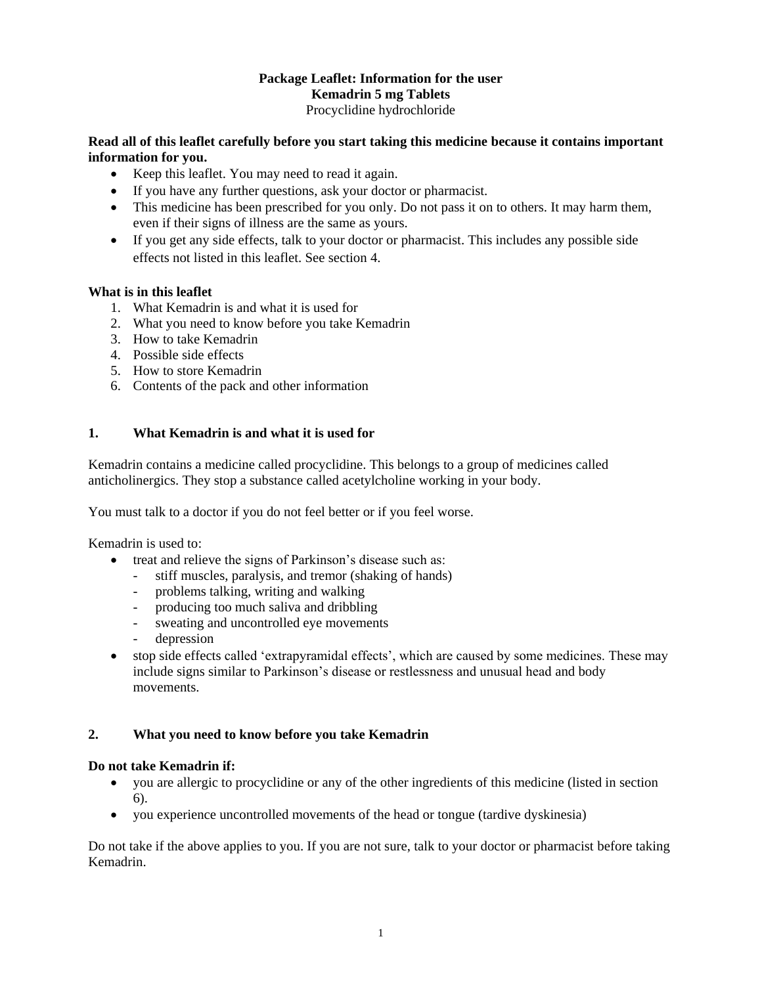## **Package Leaflet: Information for the user Kemadrin 5 mg Tablets** Procyclidine hydrochloride

**Read all of this leaflet carefully before you start taking this medicine because it contains important information for you.**

- Keep this leaflet. You may need to read it again.
- If you have any further questions, ask your doctor or pharmacist.
- This medicine has been prescribed for you only. Do not pass it on to others. It may harm them, even if their signs of illness are the same as yours.
- If you get any side effects, talk to your doctor or pharmacist. This includes any possible side effects not listed in this leaflet. See section 4.

## **What is in this leaflet**

- 1. What Kemadrin is and what it is used for
- 2. What you need to know before you take Kemadrin
- 3. How to take Kemadrin
- 4. Possible side effects
- 5. How to store Kemadrin
- 6. Contents of the pack and other information

## **1. What Kemadrin is and what it is used for**

Kemadrin contains a medicine called procyclidine. This belongs to a group of medicines called anticholinergics. They stop a substance called acetylcholine working in your body.

You must talk to a doctor if you do not feel better or if you feel worse.

Kemadrin is used to:

- treat and relieve the signs of Parkinson's disease such as:
	- stiff muscles, paralysis, and tremor (shaking of hands)
	- problems talking, writing and walking
	- producing too much saliva and dribbling
	- sweating and uncontrolled eye movements
	- depression
- stop side effects called 'extrapyramidal effects', which are caused by some medicines. These may include signs similar to Parkinson's disease or restlessness and unusual head and body movements.

## **2. What you need to know before you take Kemadrin**

## **Do not take Kemadrin if:**

- you are allergic to procyclidine or any of the other ingredients of this medicine (listed in section 6).
- you experience uncontrolled movements of the head or tongue (tardive dyskinesia)

Do not take if the above applies to you. If you are not sure, talk to your doctor or pharmacist before taking Kemadrin.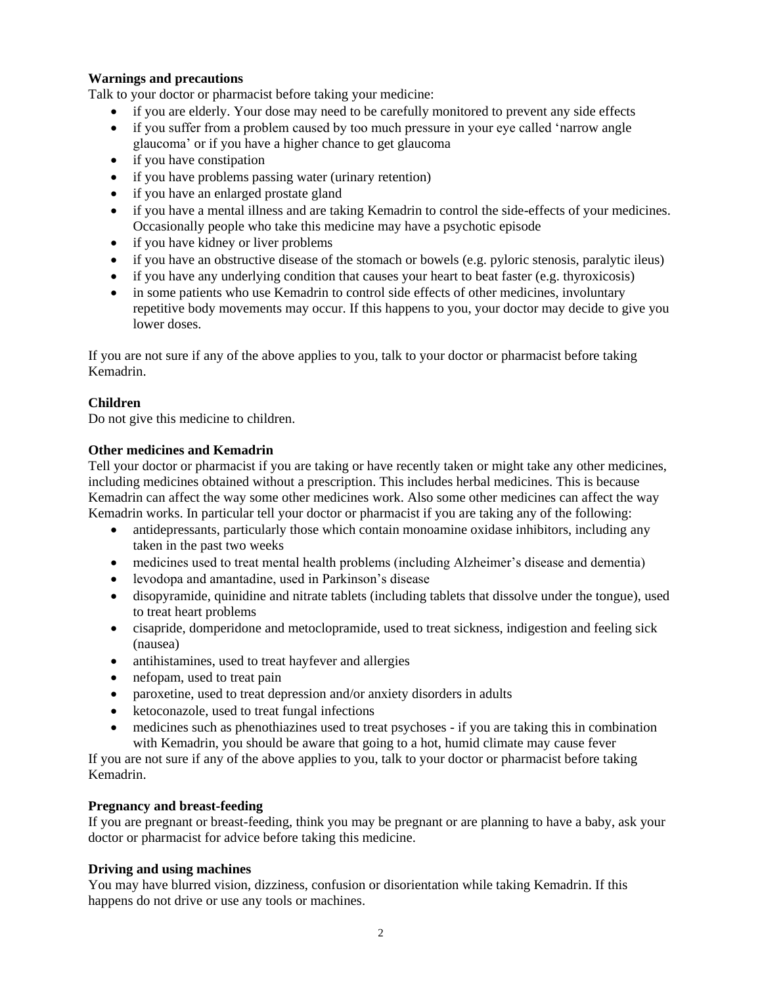## **Warnings and precautions**

Talk to your doctor or pharmacist before taking your medicine:

- if you are elderly. Your dose may need to be carefully monitored to prevent any side effects
- if you suffer from a problem caused by too much pressure in your eye called 'narrow angle glaucoma' or if you have a higher chance to get glaucoma
- if you have constipation
- if you have problems passing water (urinary retention)
- if you have an enlarged prostate gland
- if you have a mental illness and are taking Kemadrin to control the side-effects of your medicines. Occasionally people who take this medicine may have a psychotic episode
- if you have kidney or liver problems
- if you have an obstructive disease of the stomach or bowels (e.g. pyloric stenosis, paralytic ileus)
- $\bullet$  if you have any underlying condition that causes your heart to beat faster (e.g. thyroxicosis)
- in some patients who use Kemadrin to control side effects of other medicines, involuntary repetitive body movements may occur. If this happens to you, your doctor may decide to give you lower doses.

If you are not sure if any of the above applies to you, talk to your doctor or pharmacist before taking Kemadrin.

## **Children**

Do not give this medicine to children.

## **Other medicines and Kemadrin**

Tell your doctor or pharmacist if you are taking or have recently taken or might take any other medicines, including medicines obtained without a prescription. This includes herbal medicines. This is because Kemadrin can affect the way some other medicines work. Also some other medicines can affect the way Kemadrin works. In particular tell your doctor or pharmacist if you are taking any of the following:

- antidepressants, particularly those which contain monoamine oxidase inhibitors, including any taken in the past two weeks
- medicines used to treat mental health problems (including Alzheimer's disease and dementia)
- levodopa and amantadine, used in Parkinson's disease
- disopyramide, quinidine and nitrate tablets (including tablets that dissolve under the tongue), used to treat heart problems
- cisapride, domperidone and metoclopramide, used to treat sickness, indigestion and feeling sick (nausea)
- antihistamines, used to treat hayfever and allergies
- nefopam, used to treat pain
- paroxetine, used to treat depression and/or anxiety disorders in adults
- ketoconazole, used to treat fungal infections
- medicines such as phenothiazines used to treat psychoses if you are taking this in combination with Kemadrin, you should be aware that going to a hot, humid climate may cause fever

If you are not sure if any of the above applies to you, talk to your doctor or pharmacist before taking Kemadrin.

## **Pregnancy and breast-feeding**

If you are pregnant or breast-feeding, think you may be pregnant or are planning to have a baby, ask your doctor or pharmacist for advice before taking this medicine.

## **Driving and using machines**

You may have blurred vision, dizziness, confusion or disorientation while taking Kemadrin. If this happens do not drive or use any tools or machines.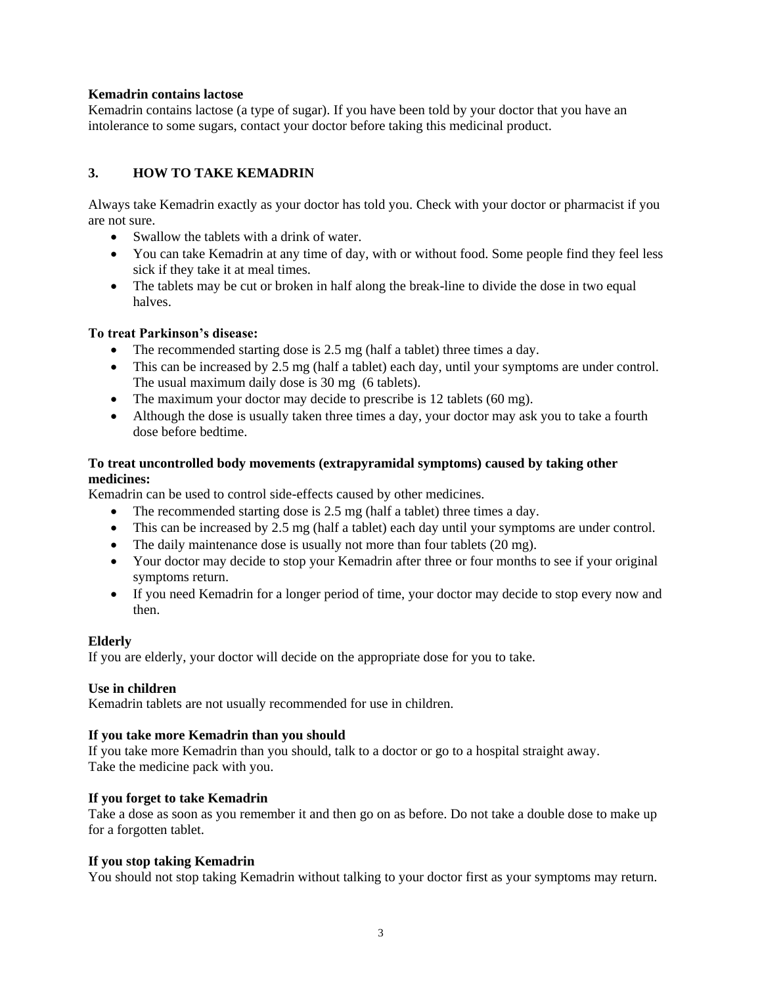## **Kemadrin contains lactose**

Kemadrin contains lactose (a type of sugar). If you have been told by your doctor that you have an intolerance to some sugars, contact your doctor before taking this medicinal product.

## **3. HOW TO TAKE KEMADRIN**

Always take Kemadrin exactly as your doctor has told you. Check with your doctor or pharmacist if you are not sure.

- Swallow the tablets with a drink of water.
- You can take Kemadrin at any time of day, with or without food. Some people find they feel less sick if they take it at meal times.
- The tablets may be cut or broken in half along the break-line to divide the dose in two equal halves.

## **To treat Parkinson's disease:**

- The recommended starting dose is 2.5 mg (half a tablet) three times a day.
- This can be increased by 2.5 mg (half a tablet) each day, until your symptoms are under control. The usual maximum daily dose is 30 mg (6 tablets).
- The maximum your doctor may decide to prescribe is 12 tablets (60 mg).
- Although the dose is usually taken three times a day, your doctor may ask you to take a fourth dose before bedtime.

## **To treat uncontrolled body movements (extrapyramidal symptoms) caused by taking other medicines:**

Kemadrin can be used to control side-effects caused by other medicines.

- The recommended starting dose is 2.5 mg (half a tablet) three times a day.
- This can be increased by 2.5 mg (half a tablet) each day until your symptoms are under control.
- The daily maintenance dose is usually not more than four tablets (20 mg).
- Your doctor may decide to stop your Kemadrin after three or four months to see if your original symptoms return.
- If you need Kemadrin for a longer period of time, your doctor may decide to stop every now and then.

#### **Elderly**

If you are elderly, your doctor will decide on the appropriate dose for you to take.

## **Use in children**

Kemadrin tablets are not usually recommended for use in children.

#### **If you take more Kemadrin than you should**

If you take more Kemadrin than you should, talk to a doctor or go to a hospital straight away. Take the medicine pack with you.

### **If you forget to take Kemadrin**

Take a dose as soon as you remember it and then go on as before. Do not take a double dose to make up for a forgotten tablet.

#### **If you stop taking Kemadrin**

You should not stop taking Kemadrin without talking to your doctor first as your symptoms may return.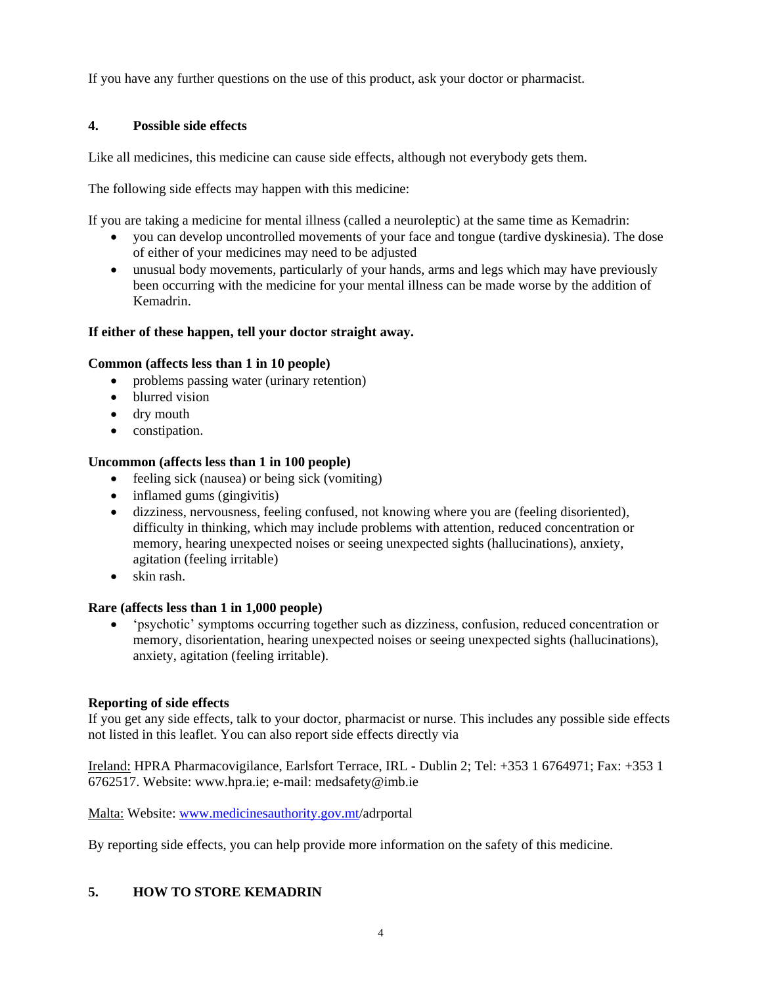If you have any further questions on the use of this product, ask your doctor or pharmacist.

## **4. Possible side effects**

Like all medicines, this medicine can cause side effects, although not everybody gets them.

The following side effects may happen with this medicine:

If you are taking a medicine for mental illness (called a neuroleptic) at the same time as Kemadrin:

- you can develop uncontrolled movements of your face and tongue (tardive dyskinesia). The dose of either of your medicines may need to be adjusted
- unusual body movements, particularly of your hands, arms and legs which may have previously been occurring with the medicine for your mental illness can be made worse by the addition of Kemadrin.

## **If either of these happen, tell your doctor straight away.**

## **Common (affects less than 1 in 10 people)**

- problems passing water (urinary retention)
- blurred vision
- dry mouth
- constipation.

## **Uncommon (affects less than 1 in 100 people)**

- feeling sick (nausea) or being sick (vomiting)
- $\bullet$  inflamed gums (gingivitis)
- dizziness, nervousness, feeling confused, not knowing where you are (feeling disoriented), difficulty in thinking, which may include problems with attention, reduced concentration or memory, hearing unexpected noises or seeing unexpected sights (hallucinations), anxiety, agitation (feeling irritable)
- skin rash.

## **Rare (affects less than 1 in 1,000 people)**

 'psychotic' symptoms occurring together such as dizziness, confusion, reduced concentration or memory, disorientation, hearing unexpected noises or seeing unexpected sights (hallucinations), anxiety, agitation (feeling irritable).

## **Reporting of side effects**

If you get any side effects, talk to your doctor, pharmacist or nurse. This includes any possible side effects not listed in this leaflet. You can also report side effects directly via

Ireland: HPRA Pharmacovigilance, Earlsfort Terrace, IRL - Dublin 2; Tel: +353 1 6764971; Fax: +353 1 6762517. Website: www.hpra.ie; e-mail: medsafety@imb.ie

Malta: Website: [www.medicinesauthority.gov.mt/](http://www.medicinesauthority.gov.mt/)adrportal

By reporting side effects, you can help provide more information on the safety of this medicine.

## **5. HOW TO STORE KEMADRIN**